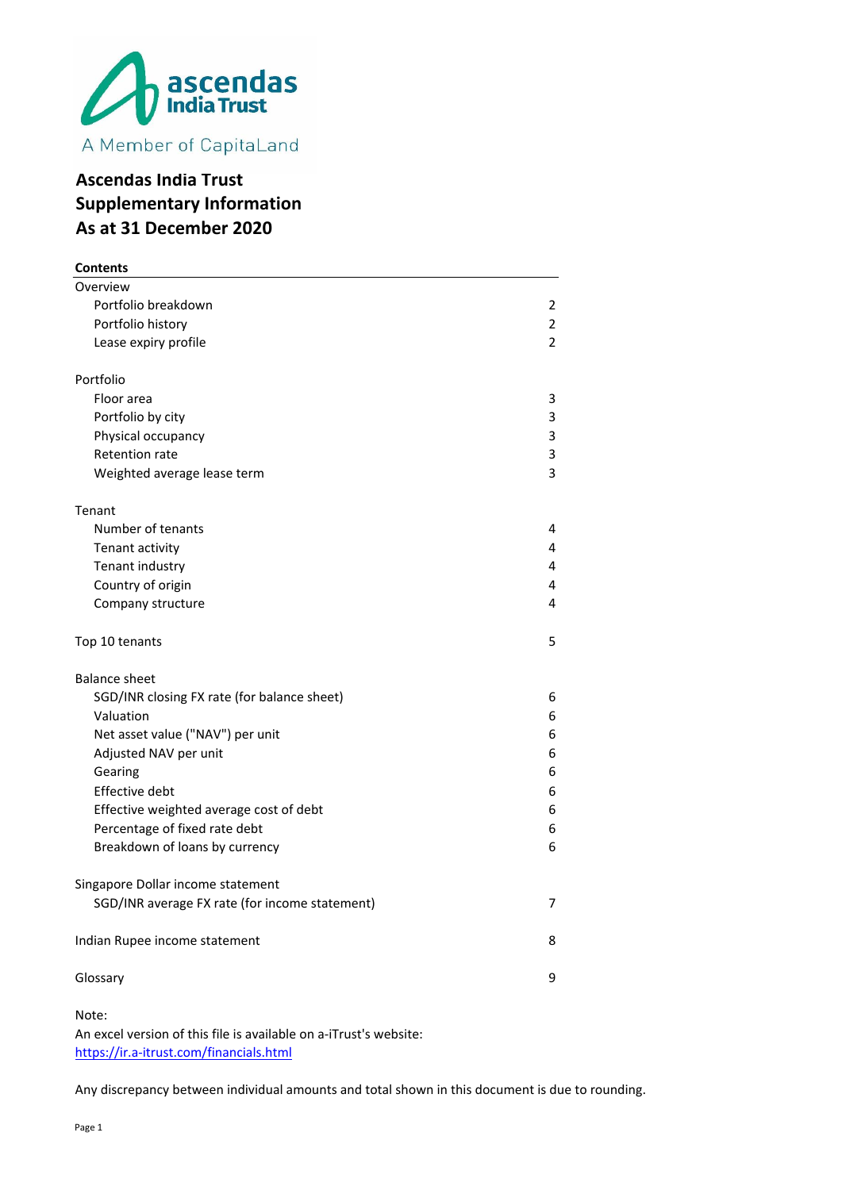

# **Ascendas India Trust Supplementary Information As at 31 December 2020**

| <b>Contents</b>                                |                |
|------------------------------------------------|----------------|
| Overview                                       |                |
| Portfolio breakdown                            | 2              |
| Portfolio history                              | 2              |
| Lease expiry profile                           | $\overline{2}$ |
| Portfolio                                      |                |
| Floor area                                     | 3              |
| Portfolio by city                              | 3              |
| Physical occupancy                             | 3              |
| <b>Retention rate</b>                          | 3              |
| Weighted average lease term                    | 3              |
| Tenant                                         |                |
| Number of tenants                              | 4              |
| Tenant activity                                | 4              |
| Tenant industry                                | 4              |
| Country of origin                              | 4              |
| Company structure                              | 4              |
| Top 10 tenants                                 | 5              |
| <b>Balance sheet</b>                           |                |
| SGD/INR closing FX rate (for balance sheet)    | 6              |
| Valuation                                      | 6              |
| Net asset value ("NAV") per unit               | 6              |
| Adjusted NAV per unit                          | 6              |
| Gearing                                        | 6              |
| <b>Effective debt</b>                          | 6              |
| Effective weighted average cost of debt        | 6              |
| Percentage of fixed rate debt                  | 6              |
| Breakdown of loans by currency                 | ь              |
| Singapore Dollar income statement              |                |
| SGD/INR average FX rate (for income statement) | 7              |
| Indian Rupee income statement                  | 8              |
| Glossary                                       | 9              |
|                                                |                |

Note:

An excel version of this file is available on a-iTrust's website: https://ir.a-itrust.com/financials.html

Any discrepancy between individual amounts and total shown in this document is due to rounding.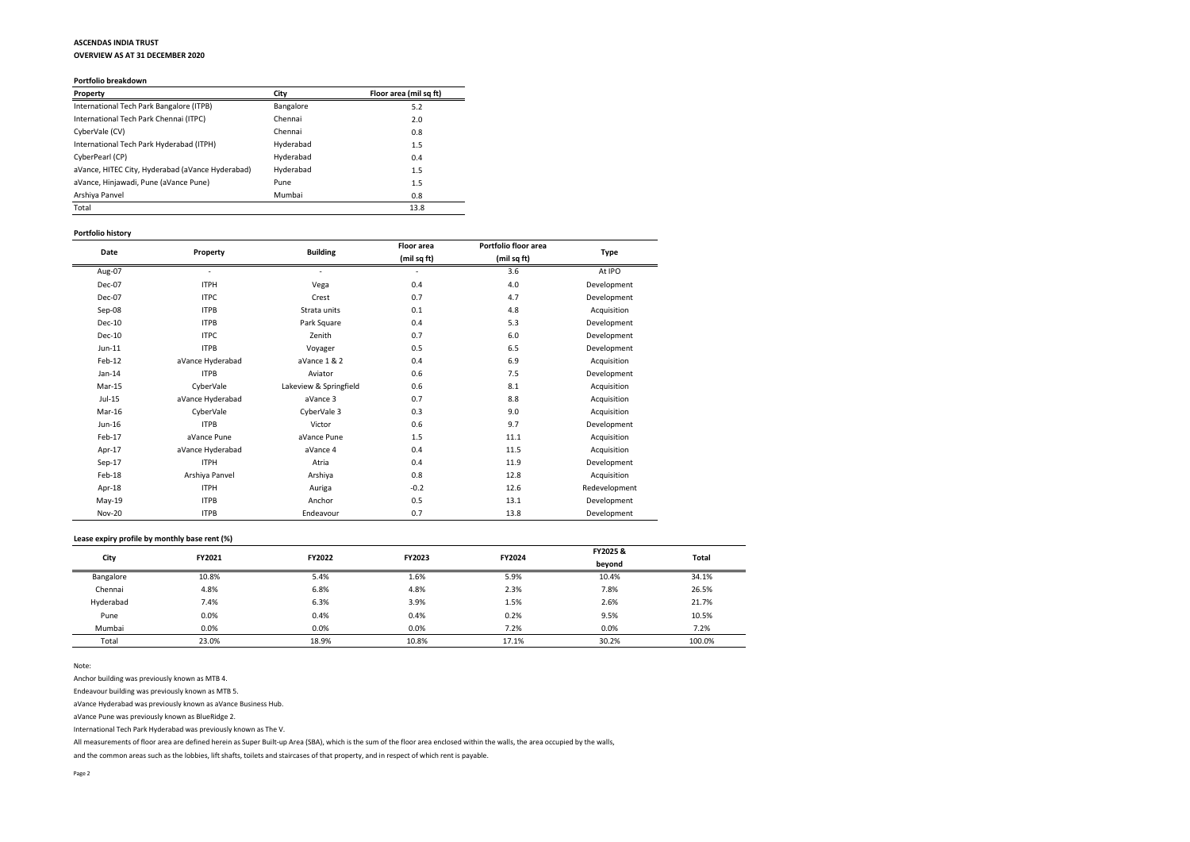# **ASCENDAS INDIA TRUST**

**OVERVIEW AS AT 31 DECEMBER 2020**

#### **Portfolio breakdown**

| <b>Property</b>                                  | City      | Floor area (mil sq ft) |
|--------------------------------------------------|-----------|------------------------|
| International Tech Park Bangalore (ITPB)         | Bangalore | 5.2                    |
| International Tech Park Chennai (ITPC)           | Chennai   | 2.0                    |
| CyberVale (CV)                                   | Chennai   | 0.8                    |
| International Tech Park Hyderabad (ITPH)         | Hyderabad | 1.5                    |
| CyberPearl (CP)                                  | Hyderabad | 0.4                    |
| aVance, HITEC City, Hyderabad (aVance Hyderabad) | Hyderabad | 1.5                    |
| aVance, Hinjawadi, Pune (aVance Pune)            | Pune      | 1.5                    |
| Arshiya Panvel                                   | Mumbai    | 0.8                    |
| Total                                            |           | 13.8                   |

### **Portfolio history**

|               |                  |                        | <b>Floor</b> area        | Portfolio floor area |               |
|---------------|------------------|------------------------|--------------------------|----------------------|---------------|
| <b>Date</b>   | <b>Property</b>  | <b>Building</b>        | (mil sq ft)              | (mil sq ft)          | <b>Type</b>   |
| Aug-07        |                  |                        | $\overline{\phantom{0}}$ | 3.6                  | At IPO        |
| Dec-07        | <b>ITPH</b>      | Vega                   | 0.4                      | 4.0                  | Development   |
| Dec-07        | <b>ITPC</b>      | Crest                  | 0.7                      | 4.7                  | Development   |
| Sep-08        | <b>ITPB</b>      | Strata units           | 0.1                      | 4.8                  | Acquisition   |
| <b>Dec-10</b> | <b>ITPB</b>      | Park Square            | 0.4                      | 5.3                  | Development   |
| <b>Dec-10</b> | <b>ITPC</b>      | Zenith                 | 0.7                      | 6.0                  | Development   |
| Jun-11        | <b>ITPB</b>      | Voyager                | 0.5                      | 6.5                  | Development   |
| Feb-12        | aVance Hyderabad | aVance 1 & 2           | 0.4                      | 6.9                  | Acquisition   |
| Jan-14        | <b>ITPB</b>      | Aviator                | 0.6                      | 7.5                  | Development   |
| Mar-15        | CyberVale        | Lakeview & Springfield | 0.6                      | 8.1                  | Acquisition   |
| $Jul-15$      | aVance Hyderabad | aVance 3               | 0.7                      | 8.8                  | Acquisition   |
| Mar-16        | CyberVale        | CyberVale 3            | 0.3                      | 9.0                  | Acquisition   |
| Jun-16        | <b>ITPB</b>      | Victor                 | 0.6                      | 9.7                  | Development   |
| Feb-17        | aVance Pune      | aVance Pune            | 1.5                      | 11.1                 | Acquisition   |
| Apr-17        | aVance Hyderabad | aVance 4               | 0.4                      | 11.5                 | Acquisition   |
| Sep-17        | <b>ITPH</b>      | Atria                  | 0.4                      | 11.9                 | Development   |
| Feb-18        | Arshiya Panvel   | Arshiya                | 0.8                      | 12.8                 | Acquisition   |
| Apr-18        | <b>ITPH</b>      | Auriga                 | $-0.2$                   | 12.6                 | Redevelopment |
| May-19        | <b>ITPB</b>      | Anchor                 | 0.5                      | 13.1                 | Development   |
| <b>Nov-20</b> | <b>ITPB</b>      | Endeavour              | 0.7                      | 13.8                 | Development   |

#### **Lease expiry profile by monthly base rent (%)**

| City      | <b>FY2021</b> | <b>FY2022</b> | <b>FY2023</b> | <b>FY2024</b> | FY2025 & | <b>Total</b> |
|-----------|---------------|---------------|---------------|---------------|----------|--------------|
|           |               |               |               |               | beyond   |              |
| Bangalore | 10.8%         | 5.4%          | 1.6%          | 5.9%          | 10.4%    | 34.1%        |
| Chennai   | 4.8%          | 6.8%          | 4.8%          | 2.3%          | 7.8%     | 26.5%        |
| Hyderabad | 7.4%          | 6.3%          | 3.9%          | 1.5%          | 2.6%     | 21.7%        |
| Pune      | 0.0%          | 0.4%          | 0.4%          | 0.2%          | 9.5%     | 10.5%        |
| Mumbai    | 0.0%          | 0.0%          | 0.0%          | 7.2%          | 0.0%     | 7.2%         |
| Total     | 23.0%         | 18.9%         | 10.8%         | 17.1%         | 30.2%    | 100.0%       |

Note:

Anchor building was previously known as MTB 4.

Endeavour building was previously known as MTB 5.

aVance Hyderabad was previously known as aVance Business Hub.

aVance Pune was previously known as BlueRidge 2.

International Tech Park Hyderabad was previously known as The V.

All measurements of floor area are defined herein as Super Built-up Area (SBA), which is the sum of the floor area enclosed within the walls, the area occupied by the walls,

and the common areas such as the lobbies, lift shafts, toilets and staircases of that property, and in respect of which rent is payable.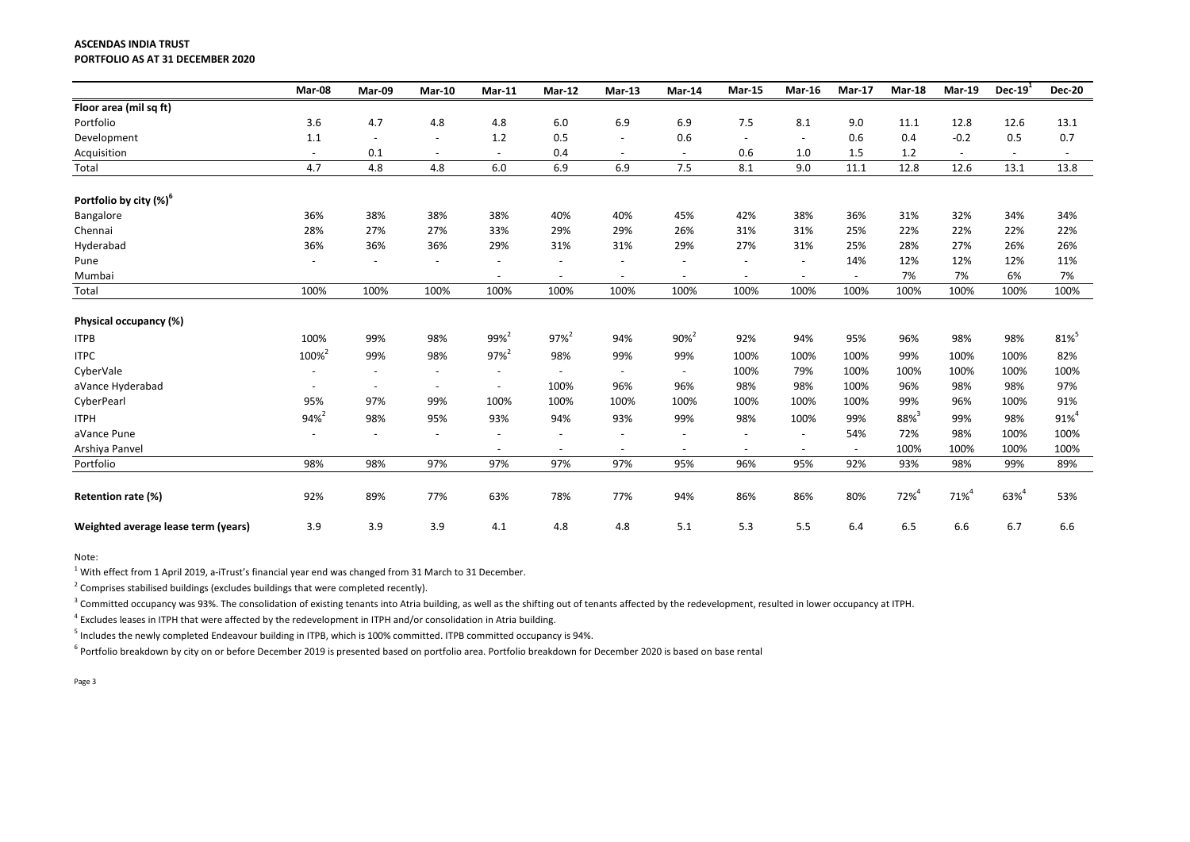#### **ASCENDAS INDIA TRUST PORTFOLIO AS AT 31 DECEMBER 2020**

|                                     | Mar-08                   | Mar-09                   | <b>Mar-10</b>            | <b>Mar-11</b>            | <b>Mar-12</b>            | <b>Mar-13</b>            | Mar-14                   | <b>Mar-15</b>            | <b>Mar-16</b>            | <b>Mar-17</b>            | <b>Mar-18</b> | <b>Mar-19</b> | Dec- $191$               | Dec-2                    |
|-------------------------------------|--------------------------|--------------------------|--------------------------|--------------------------|--------------------------|--------------------------|--------------------------|--------------------------|--------------------------|--------------------------|---------------|---------------|--------------------------|--------------------------|
| Floor area (mil sq ft)              |                          |                          |                          |                          |                          |                          |                          |                          |                          |                          |               |               |                          |                          |
| Portfolio                           | 3.6                      | 4.7                      | 4.8                      | 4.8                      | 6.0                      | 6.9                      | 6.9                      | 7.5                      | 8.1                      | 9.0                      | 11.1          | 12.8          | 12.6                     | 13.1                     |
| Development                         | 1.1                      | $\overline{\phantom{a}}$ | $\overline{\phantom{a}}$ | 1.2                      | 0.5                      | $\overline{\phantom{a}}$ | 0.6                      | $\overline{\phantom{a}}$ | $\overline{\phantom{a}}$ | 0.6                      | 0.4           | $-0.2$        | 0.5                      | 0.7                      |
| Acquisition                         | $\overline{\phantom{a}}$ | $0.1\,$                  | $\overline{\phantom{a}}$ | $\overline{\phantom{a}}$ | 0.4                      | $\overline{\phantom{a}}$ | $\overline{\phantom{a}}$ | 0.6                      | 1.0                      | 1.5                      | $1.2\,$       | $\sim$        | $\overline{\phantom{a}}$ | $\overline{\phantom{a}}$ |
| Total                               | 4.7                      | 4.8                      | 4.8                      | 6.0                      | 6.9                      | 6.9                      | 7.5                      | 8.1                      | 9.0                      | 11.1                     | 12.8          | 12.6          | 13.1                     | 13.8                     |
| Portfolio by city $(\%)^6$          |                          |                          |                          |                          |                          |                          |                          |                          |                          |                          |               |               |                          |                          |
| Bangalore                           | 36%                      | 38%                      | 38%                      | 38%                      | 40%                      | 40%                      | 45%                      | 42%                      | 38%                      | 36%                      | 31%           | 32%           | 34%                      | 34%                      |
| Chennai                             | 28%                      | 27%                      | 27%                      | 33%                      | 29%                      | 29%                      | 26%                      | 31%                      | 31%                      | 25%                      | 22%           | 22%           | 22%                      | 22%                      |
| Hyderabad                           | 36%                      | 36%                      | 36%                      | 29%                      | 31%                      | 31%                      | 29%                      | 27%                      | 31%                      | 25%                      | 28%           | 27%           | 26%                      | 26%                      |
| Pune                                | $\overline{\phantom{a}}$ |                          | $\overline{\phantom{a}}$ | $\overline{\phantom{a}}$ | $\overline{\phantom{0}}$ | $\overline{\phantom{a}}$ | $\overline{\phantom{a}}$ | $\overline{\phantom{a}}$ | $\sim$                   | 14%                      | 12%           | 12%           | 12%                      | 11%                      |
| Mumbai                              |                          |                          |                          | $\overline{\phantom{a}}$ | $\overline{\phantom{a}}$ | $\overline{\phantom{a}}$ | $\overline{\phantom{a}}$ | $\sim$                   | $\sim$                   | $\sim$                   | 7%            | 7%            | 6%                       | 7%                       |
| Total                               | 100%                     | 100%                     | 100%                     | 100%                     | 100%                     | 100%                     | 100%                     | 100%                     | 100%                     | 100%                     | 100%          | 100%          | 100%                     | 100%                     |
| Physical occupancy (%)              |                          |                          |                          |                          |                          |                          |                          |                          |                          |                          |               |               |                          |                          |
| <b>ITPB</b>                         | 100%                     | 99%                      | 98%                      | 99% <sup>2</sup>         | $97\%^{2}$               | 94%                      | 90% <sup>2</sup>         | 92%                      | 94%                      | 95%                      | 96%           | 98%           | 98%                      | 81%                      |
| <b>ITPC</b>                         | 100% <sup>2</sup>        | 99%                      | 98%                      | $97%^{2}$                | 98%                      | 99%                      | 99%                      | 100%                     | 100%                     | 100%                     | 99%           | 100%          | 100%                     | 82%                      |
| CyberVale                           |                          |                          | $\overline{\phantom{a}}$ |                          |                          | $\overline{\phantom{a}}$ | $\overline{\phantom{a}}$ | 100%                     | 79%                      | 100%                     | 100%          | 100%          | 100%                     | 100%                     |
| aVance Hyderabad                    | $\overline{\phantom{a}}$ |                          | $\overline{\phantom{a}}$ | $\overline{\phantom{a}}$ | 100%                     | 96%                      | 96%                      | 98%                      | 98%                      | 100%                     | 96%           | 98%           | 98%                      | 97%                      |
| CyberPearl                          | 95%                      | 97%                      | 99%                      | 100%                     | 100%                     | 100%                     | 100%                     | 100%                     | 100%                     | 100%                     | 99%           | 96%           | 100%                     | 91%                      |
| <b>ITPH</b>                         | 94% <sup>2</sup>         | 98%                      | 95%                      | 93%                      | 94%                      | 93%                      | 99%                      | 98%                      | 100%                     | 99%                      | $88\%^{3}$    | 99%           | 98%                      | $91\%$ <sup>4</sup>      |
| aVance Pune                         | $\overline{\phantom{a}}$ | $\overline{\phantom{0}}$ | $\overline{\phantom{a}}$ |                          | $\overline{\phantom{a}}$ | $\overline{\phantom{a}}$ | $\overline{\phantom{a}}$ | $\overline{\phantom{a}}$ | $\sim$                   | 54%                      | 72%           | 98%           | 100%                     | 100%                     |
| Arshiya Panvel                      |                          |                          |                          |                          | $\overline{\phantom{a}}$ | $\overline{\phantom{a}}$ | $\overline{\phantom{a}}$ | $\overline{\phantom{a}}$ | $\overline{\phantom{a}}$ | $\overline{\phantom{0}}$ | 100%          | 100%          | 100%                     | 100%                     |
| Portfolio                           | 98%                      | 98%                      | 97%                      | 97%                      | 97%                      | 97%                      | 95%                      | 96%                      | 95%                      | 92%                      | 93%           | 98%           | 99%                      | 89%                      |
| Retention rate (%)                  | 92%                      | 89%                      | 77%                      | 63%                      | 78%                      | 77%                      | 94%                      | 86%                      | 86%                      | 80%                      | $72%^{4}$     | $71%^{4}$     | 63% <sup>4</sup>         | 53%                      |
| Weighted average lease term (years) | 3.9                      | 3.9                      | 3.9                      | 4.1                      | 4.8                      | 4.8                      | 5.1                      | 5.3                      | 5.5                      | 6.4                      | 6.5           | 6.6           | 6.7                      | 6.6                      |

| <b>Mar-19</b> | Dec- $19^1$ | <b>Dec-20</b> |
|---------------|-------------|---------------|
|               |             |               |
| 12.8          | 12.6        | 13.1          |
| $-0.2$        | 0.5         | 0.7           |
|               |             |               |
| 12.6          | 13.1        | 13.8          |
|               |             |               |
|               |             |               |
| 32%           | 34%         | 34%           |
| 22%           | 22%         | 22%           |
| 27%           | 26%         | 26%           |
| 12%           | 12%         | 11%           |
| 7%            | 6%          | 7%            |
| 100%          | 100%        | 100%          |
|               |             |               |
|               |             |               |
| 98%           | 98%         | $81\%$        |
| 100%          | 100%        | 82%           |
| 100%          | 100%        | 100%          |
| 98%           | 98%         | 97%           |
| 96%           | 100%        | 91%           |
| 99%           | 98%         | $91\%^{4}$    |
| 98%           | 100%        | 100%          |
| 100%          | 100%        | 100%          |
| 98%           | 99%         | 89%           |
|               |             |               |
| $71\%^{4}$    | $63\%^{4}$  | 53%           |
|               |             |               |
| 6.6           | 6.7         | 6.6           |

Note:

 $^{1}$  With effect from 1 April 2019, a-iTrust's financial year end was changed from 31 March to 31 December.

 $2$  Comprises stabilised buildings (excludes buildings that were completed recently).

 $^3$  Committed occupancy was 93%. The consolidation of existing tenants into Atria building, as well as the shifting out of tenants affected by the redevelopment, resulted in lower occupancy at ITPH.

<sup>4</sup> Excludes leases in ITPH that were affected by the redevelopment in ITPH and/or consolidation in Atria building.

<sup>5</sup> Includes the newly completed Endeavour building in ITPB, which is 100% committed. ITPB committed occupancy is 94%.

<sup>6</sup> Portfolio breakdown by city on or before December 2019 is presented based on portfolio area. Portfolio breakdown for December 2020 is based on base rental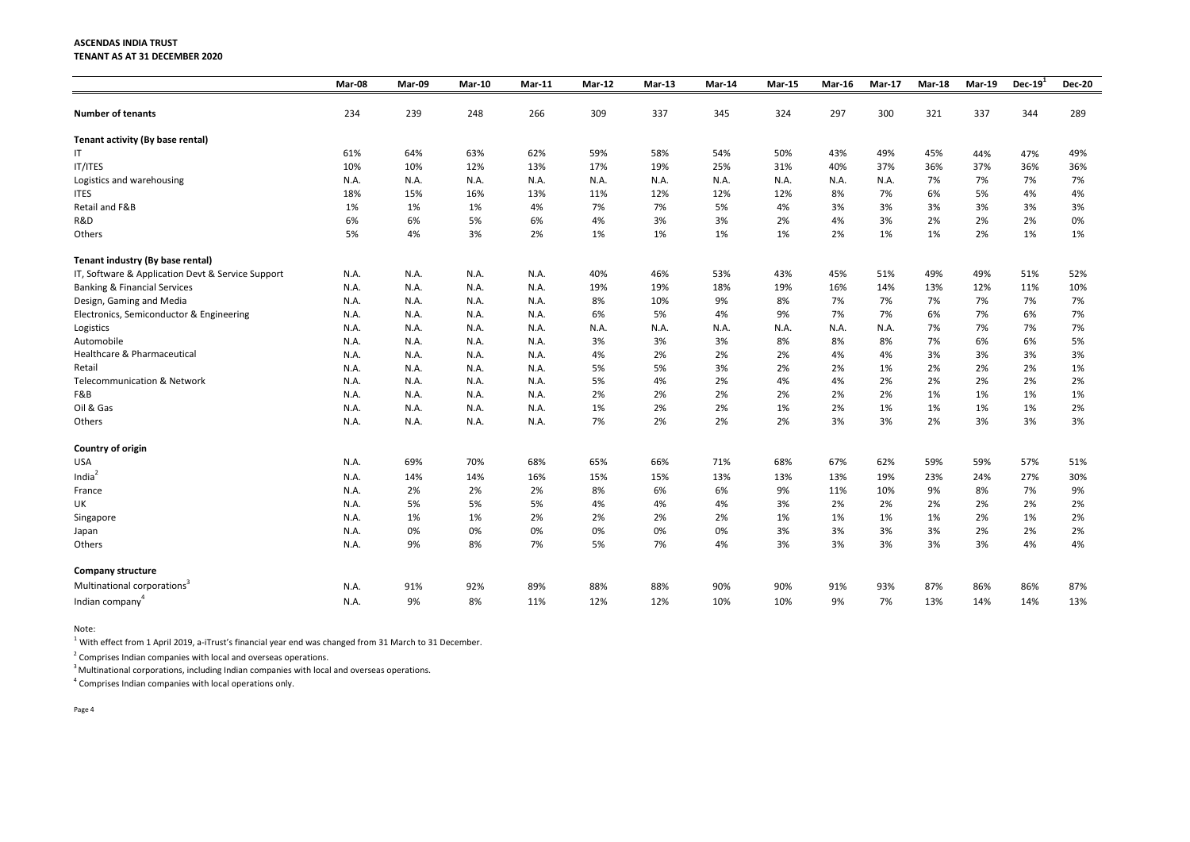### **ASCENDAS INDIA TRUST TENANT AS AT 31 DECEMBER 2020**

|                                                   | Mar-08 | Mar-09 | <b>Mar-10</b> | $Mar-11$ | <b>Mar-12</b> | $Mar-13$ | <b>Mar-14</b> | <b>Mar-15</b> | $Mar-16$ | <b>Mar-17</b> | <b>Mar-18</b> | <b>Mar-19</b> | Dec- $191$ | <b>Dec-20</b> |
|---------------------------------------------------|--------|--------|---------------|----------|---------------|----------|---------------|---------------|----------|---------------|---------------|---------------|------------|---------------|
| <b>Number of tenants</b>                          | 234    | 239    | 248           | 266      | 309           | 337      | 345           | 324           | 297      | 300           | 321           | 337           | 344        | 289           |
| Tenant activity (By base rental)                  |        |        |               |          |               |          |               |               |          |               |               |               |            |               |
| $\mathsf{I}\mathsf{T}$                            | 61%    | 64%    | 63%           | 62%      | 59%           | 58%      | 54%           | 50%           | 43%      | 49%           | 45%           | 44%           | 47%        | 49%           |
| IT/ITES                                           | 10%    | 10%    | 12%           | 13%      | 17%           | 19%      | 25%           | 31%           | 40%      | 37%           | 36%           | 37%           | 36%        | 36%           |
| Logistics and warehousing                         | N.A.   | N.A.   | N.A.          | N.A.     | N.A.          | N.A.     | N.A.          | N.A.          | N.A.     | N.A.          | 7%            | 7%            | 7%         | 7%            |
| <b>ITES</b>                                       | 18%    | 15%    | 16%           | 13%      | 11%           | 12%      | 12%           | 12%           | 8%       | 7%            | 6%            | 5%            | 4%         | 4%            |
| Retail and F&B                                    | 1%     | 1%     | 1%            | 4%       | 7%            | 7%       | 5%            | 4%            | 3%       | 3%            | 3%            | 3%            | 3%         | 3%            |
| R&D                                               | 6%     | 6%     | 5%            | 6%       | 4%            | 3%       | 3%            | 2%            | 4%       | 3%            | 2%            | 2%            | 2%         | 0%            |
| Others                                            | 5%     | 4%     | 3%            | 2%       | 1%            | 1%       | 1%            | 1%            | 2%       | 1%            | 1%            | 2%            | 1%         | 1%            |
| Tenant industry (By base rental)                  |        |        |               |          |               |          |               |               |          |               |               |               |            |               |
| IT, Software & Application Devt & Service Support | N.A.   | N.A.   | N.A.          | N.A.     | 40%           | 46%      | 53%           | 43%           | 45%      | 51%           | 49%           | 49%           | 51%        | 52%           |
| <b>Banking &amp; Financial Services</b>           | N.A.   | N.A.   | N.A.          | N.A.     | 19%           | 19%      | 18%           | 19%           | 16%      | 14%           | 13%           | 12%           | 11%        | 10%           |
| Design, Gaming and Media                          | N.A.   | N.A.   | N.A.          | N.A.     | 8%            | 10%      | 9%            | 8%            | 7%       | 7%            | 7%            | 7%            | 7%         | 7%            |
| Electronics, Semiconductor & Engineering          | N.A.   | N.A.   | N.A.          | N.A.     | 6%            | 5%       | 4%            | 9%            | 7%       | 7%            | 6%            | 7%            | 6%         | 7%            |
| Logistics                                         | N.A.   | N.A.   | N.A.          | N.A.     | N.A.          | N.A.     | N.A.          | N.A.          | N.A.     | N.A.          | 7%            | 7%            | 7%         | 7%            |
| Automobile                                        | N.A.   | N.A.   | N.A.          | N.A.     | 3%            | 3%       | 3%            | 8%            | 8%       | 8%            | 7%            | 6%            | 6%         | 5%            |
| Healthcare & Pharmaceutical                       | N.A.   | N.A.   | N.A.          | N.A.     | 4%            | 2%       | 2%            | 2%            | 4%       | 4%            | 3%            | 3%            | 3%         | 3%            |
| Retail                                            | N.A.   | N.A.   | N.A.          | N.A.     | 5%            | 5%       | 3%            | 2%            | 2%       | 1%            | 2%            | 2%            | 2%         | 1%            |
| <b>Telecommunication &amp; Network</b>            | N.A.   | N.A.   | N.A.          | N.A.     | 5%            | 4%       | 2%            | 4%            | 4%       | 2%            | 2%            | 2%            | 2%         | 2%            |
| F&B                                               | N.A.   | N.A.   | N.A.          | N.A.     | 2%            | 2%       | 2%            | 2%            | 2%       | 2%            | 1%            | 1%            | 1%         | 1%            |
| Oil & Gas                                         | N.A.   | N.A.   | N.A.          | N.A.     | 1%            | 2%       | 2%            | 1%            | 2%       | 1%            | 1%            | 1%            | 1%         | 2%            |
| Others                                            | N.A.   | N.A.   | N.A.          | N.A.     | 7%            | 2%       | 2%            | 2%            | 3%       | 3%            | 2%            | 3%            | 3%         | 3%            |
| <b>Country of origin</b>                          |        |        |               |          |               |          |               |               |          |               |               |               |            |               |
| <b>USA</b>                                        | N.A.   | 69%    | 70%           | 68%      | 65%           | 66%      | 71%           | 68%           | 67%      | 62%           | 59%           | 59%           | 57%        | 51%           |
| India $2$                                         | N.A.   | 14%    | 14%           | 16%      | 15%           | 15%      | 13%           | 13%           | 13%      | 19%           | 23%           | 24%           | 27%        | 30%           |
| France                                            | N.A.   | 2%     | 2%            | 2%       | 8%            | 6%       | 6%            | 9%            | 11%      | 10%           | 9%            | 8%            | 7%         | 9%            |
| UK                                                | N.A.   | 5%     | 5%            | 5%       | 4%            | 4%       | 4%            | 3%            | 2%       | 2%            | 2%            | 2%            | 2%         | 2%            |
| Singapore                                         | N.A.   | 1%     | 1%            | 2%       | 2%            | 2%       | 2%            | 1%            | 1%       | 1%            | 1%            | 2%            | 1%         | 2%            |
| Japan                                             | N.A.   | 0%     | 0%            | 0%       | 0%            | 0%       | 0%            | 3%            | 3%       | 3%            | 3%            | 2%            | 2%         | 2%            |
| Others                                            | N.A.   | 9%     | 8%            | 7%       | $5\%$         | 7%       | 4%            | 3%            | 3%       | 3%            | 3%            | 3%            | 4%         | 4%            |
| <b>Company structure</b>                          |        |        |               |          |               |          |               |               |          |               |               |               |            |               |
| Multinational corporations <sup>3</sup>           | N.A.   | 91%    | 92%           | 89%      | 88%           | 88%      | 90%           | 90%           | 91%      | 93%           | 87%           | 86%           | 86%        | 87%           |
| Indian company <sup>4</sup>                       | N.A.   | 9%     | 8%            | 11%      | 12%           | 12%      | 10%           | 10%           | 9%       | 7%            | 13%           | 14%           | 14%        | 13%           |

Note:

 $^{1}$  With effect from 1 April 2019, a-iTrust's financial year end was changed from 31 March to 31 December.

 $2$  Comprises Indian companies with local and overseas operations.

 $3$  Multinational corporations, including Indian companies with local and overseas operations.

 $4$  Comprises Indian companies with local operations only.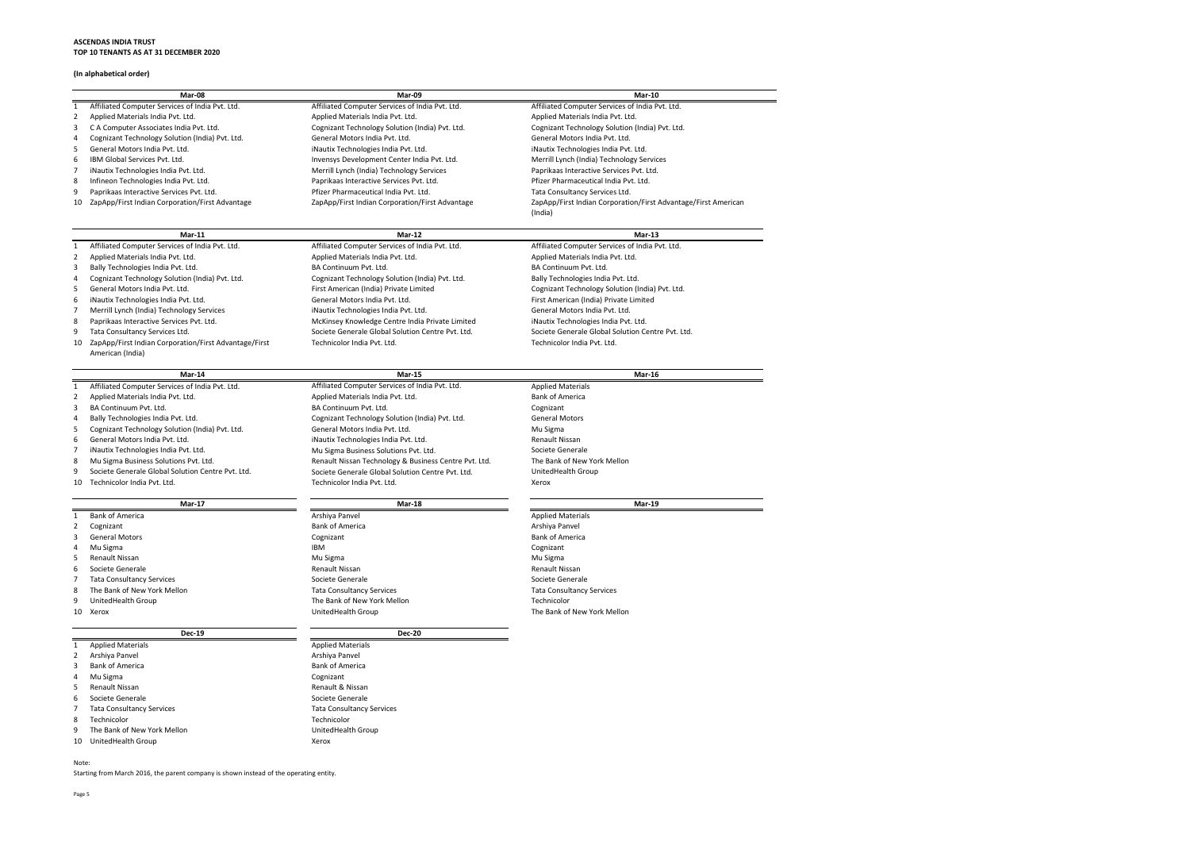### **ASCENDAS INDIA TRUST TOP 10 TENANTS AS AT 31 DECEMBER 2020**

## **(In alphabetical order)**

|                | Mar-08                                                | Mar-09                                                | <b>Mar-10</b>                                     |
|----------------|-------------------------------------------------------|-------------------------------------------------------|---------------------------------------------------|
| $\mathbf{1}$   | Affiliated Computer Services of India Pvt. Ltd.       | Affiliated Computer Services of India Pvt. Ltd.       | Affiliated Computer Services of India Pvt. Ltd.   |
| 2              | Applied Materials India Pvt. Ltd.                     | Applied Materials India Pvt. Ltd.                     | Applied Materials India Pvt. Ltd.                 |
| 3              | C A Computer Associates India Pvt. Ltd.               | Cognizant Technology Solution (India) Pvt. Ltd.       | Cognizant Technology Solution (India) Pvt. Ltd.   |
| 4              | Cognizant Technology Solution (India) Pvt. Ltd.       | General Motors India Pvt. Ltd.                        | General Motors India Pvt. Ltd.                    |
| 5              | General Motors India Pvt. Ltd.                        | iNautix Technologies India Pvt. Ltd.                  | iNautix Technologies India Pvt. Ltd.              |
| 6              | IBM Global Services Pvt. Ltd.                         | Invensys Development Center India Pvt. Ltd.           | Merrill Lynch (India) Technology Services         |
|                | iNautix Technologies India Pvt. Ltd.                  | Merrill Lynch (India) Technology Services             | Paprikaas Interactive Services Pvt. Ltd.          |
| 8              | Infineon Technologies India Pvt. Ltd.                 | Paprikaas Interactive Services Pvt. Ltd.              | Pfizer Pharmaceutical India Pvt. Ltd.             |
| 9              | Paprikaas Interactive Services Pvt. Ltd.              | Pfizer Pharmaceutical India Pvt. Ltd.                 | Tata Consultancy Services Ltd.                    |
| 10             | ZapApp/First Indian Corporation/First Advantage       | ZapApp/First Indian Corporation/First Advantage       | ZapApp/First Indian Corporation/First Advantage   |
|                |                                                       |                                                       | (India)                                           |
|                |                                                       |                                                       |                                                   |
|                | $Mar-11$                                              | $Mar-12$                                              | $Mar-13$                                          |
| 1              | Affiliated Computer Services of India Pvt. Ltd.       | Affiliated Computer Services of India Pvt. Ltd.       | Affiliated Computer Services of India Pvt. Ltd.   |
| $\overline{2}$ | Applied Materials India Pvt. Ltd.                     | Applied Materials India Pvt. Ltd.                     | Applied Materials India Pvt. Ltd.                 |
| 3              | Bally Technologies India Pvt. Ltd.                    | BA Continuum Pvt. Ltd.                                | BA Continuum Pvt. Ltd.                            |
| 4              | Cognizant Technology Solution (India) Pvt. Ltd.       | Cognizant Technology Solution (India) Pvt. Ltd.       | Bally Technologies India Pvt. Ltd.                |
| 5              | General Motors India Pvt. Ltd.                        | First American (India) Private Limited                | Cognizant Technology Solution (India) Pvt. Ltd.   |
| 6              | iNautix Technologies India Pvt. Ltd.                  | General Motors India Pvt. Ltd.                        | First American (India) Private Limited            |
|                | Merrill Lynch (India) Technology Services             | iNautix Technologies India Pvt. Ltd.                  | General Motors India Pvt. Ltd.                    |
| 8              | Paprikaas Interactive Services Pvt. Ltd.              | McKinsey Knowledge Centre India Private Limited       | iNautix Technologies India Pvt. Ltd.              |
| 9              | Tata Consultancy Services Ltd.                        | Societe Generale Global Solution Centre Pvt. Ltd.     | Societe Generale Global Solution Centre Pvt. Ltd. |
| 10             | ZapApp/First Indian Corporation/First Advantage/First | Technicolor India Pvt. Ltd.                           | Technicolor India Pvt. Ltd.                       |
|                | American (India)                                      |                                                       |                                                   |
|                |                                                       |                                                       |                                                   |
|                | Mar-14                                                | <b>Mar-15</b>                                         | <b>Mar-16</b>                                     |
| 1              | Affiliated Computer Services of India Pvt. Ltd.       | Affiliated Computer Services of India Pvt. Ltd.       | <b>Applied Materials</b>                          |
| 2              | Applied Materials India Pvt. Ltd.                     | Applied Materials India Pvt. Ltd.                     | <b>Bank of America</b>                            |
| 3              | BA Continuum Pvt. Ltd.                                | BA Continuum Pvt. Ltd.                                | Cognizant                                         |
| 4              | Bally Technologies India Pvt. Ltd.                    | Cognizant Technology Solution (India) Pvt. Ltd.       | <b>General Motors</b>                             |
| 5              | Cognizant Technology Solution (India) Pvt. Ltd.       | General Motors India Pvt. Ltd.                        | Mu Sigma                                          |
| 6              | General Motors India Pvt. Ltd.                        | iNautix Technologies India Pvt. Ltd.                  | <b>Renault Nissan</b>                             |
|                | iNautix Technologies India Pvt. Ltd.                  | Mu Sigma Business Solutions Pvt. Ltd.                 | Societe Generale                                  |
| 8              | Mu Sigma Business Solutions Pvt. Ltd.                 | Renault Nissan Technology & Business Centre Pvt. Ltd. | The Bank of New York Mellon                       |
| 9              | Societe Generale Global Solution Centre Pvt. Ltd.     | Societe Generale Global Solution Centre Pyt. Ltd.     | UnitedHealth Group                                |
| 10             | Technicolor India Pvt. Ltd.                           | Technicolor India Pvt. Ltd.                           | Xerox                                             |
|                | <b>Mar-17</b>                                         | <b>Mar-18</b>                                         | <b>Mar-19</b>                                     |
| 1              | <b>Bank of America</b>                                | Arshiya Panvel                                        | <b>Applied Materials</b>                          |
| 2              | Cognizant                                             | <b>Bank of America</b>                                | Arshiya Panvel                                    |
| 3              | <b>General Motors</b>                                 | Cognizant                                             | <b>Bank of America</b>                            |
| 4              | Mu Sigma                                              | <b>IBM</b>                                            | Cognizant                                         |
| 5              | <b>Renault Nissan</b>                                 | Mu Sigma                                              | Mu Sigma                                          |
| 6              | Societe Generale                                      | <b>Renault Nissan</b>                                 | <b>Renault Nissan</b>                             |
| 7              | <b>Tata Consultancy Services</b>                      | Societe Generale                                      | Societe Generale                                  |
| 8              | The Bank of New York Mellon                           | <b>Tata Consultancy Services</b>                      |                                                   |
|                |                                                       | The Bank of New York Mellon                           | <b>Tata Consultancy Services</b><br>Technicolor   |
| 9<br>10        | UnitedHealth Group<br>Xerox                           | UnitedHealth Group                                    | The Bank of New York Mellon                       |
|                |                                                       |                                                       |                                                   |
|                | <b>Dec-19</b>                                         | <b>Dec-20</b>                                         |                                                   |
| 1              | <b>Applied Materials</b>                              | <b>Applied Materials</b>                              |                                                   |
| 2              | Arshiya Panvel                                        | Arshiya Panvel                                        |                                                   |
| 3              | <b>Bank of America</b>                                | <b>Bank of America</b>                                |                                                   |
|                | Mu Sigma                                              | Cognizant                                             |                                                   |
| 5              | Renault Nissan                                        | Renault & Nissan                                      |                                                   |
| 6              | Societe Generale                                      | Societe Generale                                      |                                                   |
|                | <b>Tata Consultancy Services</b>                      | <b>Tata Consultancy Services</b>                      |                                                   |
| 8              | Technicolor                                           | Technicolor                                           |                                                   |
| 9              | The Bank of New York Mellon                           | UnitedHealth Group                                    |                                                   |
| 10             | UnitedHealth Group                                    | Xerox                                                 |                                                   |
|                |                                                       |                                                       |                                                   |
| Note:          |                                                       |                                                       |                                                   |

Starting from March 2016, the parent company is shown instead of the operating entity.

Advantage/First American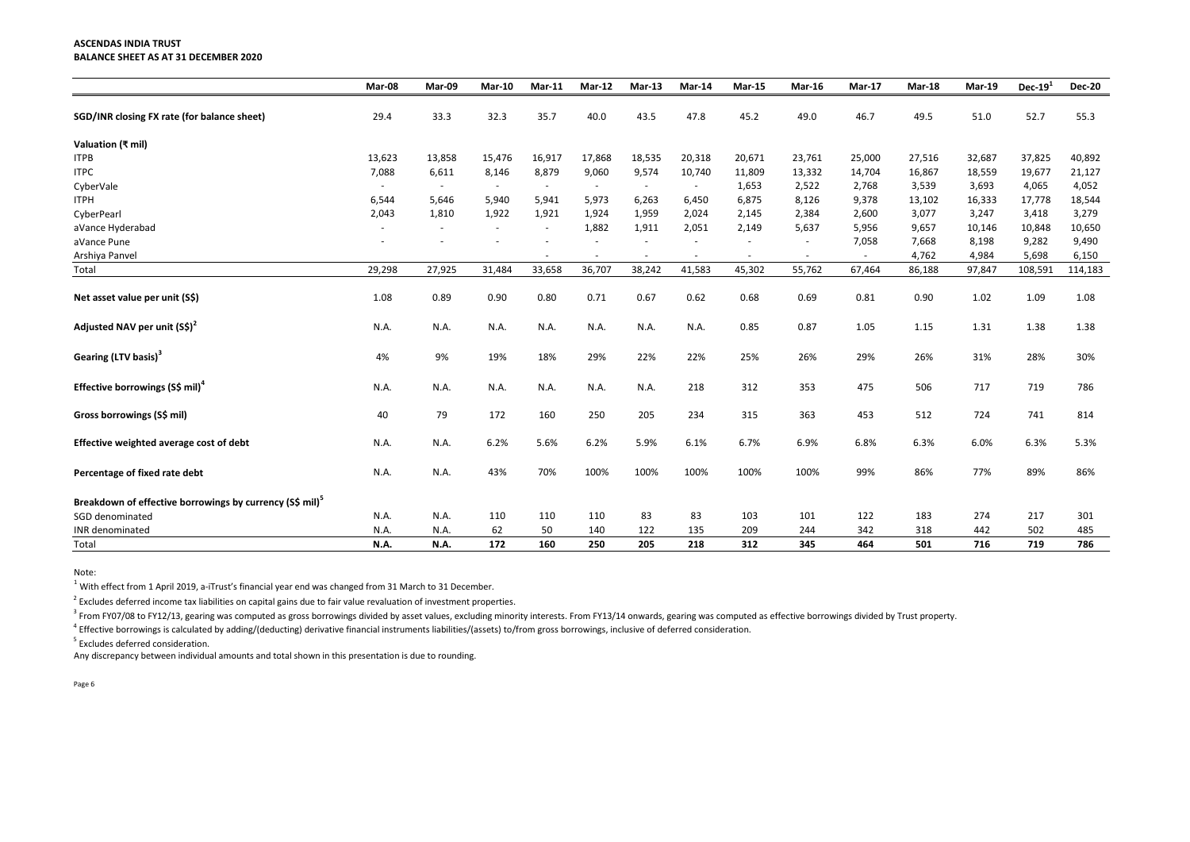#### **ASCENDAS INDIA TRUST BALANCE SHEET AS AT 31 DECEMBER 2020**

|                                                                      | Mar-08 | Mar-09 | <b>Mar-10</b> | $Mar-11$                 | $Mar-12$ | $Mar-13$ | Mar-14 | <b>Mar-15</b> | Mar-16 | <b>Mar-17</b> | <b>Mar-18</b> | <b>Mar-19</b> | Dec- $191$ | <b>Dec-20</b> |
|----------------------------------------------------------------------|--------|--------|---------------|--------------------------|----------|----------|--------|---------------|--------|---------------|---------------|---------------|------------|---------------|
| SGD/INR closing FX rate (for balance sheet)                          | 29.4   | 33.3   | 32.3          | 35.7                     | 40.0     | 43.5     | 47.8   | 45.2          | 49.0   | 46.7          | 49.5          | 51.0          | 52.7       | 55.3          |
| Valuation (₹ mil)                                                    |        |        |               |                          |          |          |        |               |        |               |               |               |            |               |
| <b>ITPB</b>                                                          | 13,623 | 13,858 | 15,476        | 16,917                   | 17,868   | 18,535   | 20,318 | 20,671        | 23,761 | 25,000        | 27,516        | 32,687        | 37,825     | 40,892        |
| <b>ITPC</b>                                                          | 7,088  | 6,611  | 8,146         | 8,879                    | 9,060    | 9,574    | 10,740 | 11,809        | 13,332 | 14,704        | 16,867        | 18,559        | 19,677     | 21,127        |
| CyberVale                                                            |        |        |               |                          |          |          |        | 1,653         | 2,522  | 2,768         | 3,539         | 3,693         | 4,065      | 4,052         |
| <b>ITPH</b>                                                          | 6,544  | 5,646  | 5,940         | 5,941                    | 5,973    | 6,263    | 6,450  | 6,875         | 8,126  | 9,378         | 13,102        | 16,333        | 17,778     | 18,544        |
| CyberPearl                                                           | 2,043  | 1,810  | 1,922         | 1,921                    | 1,924    | 1,959    | 2,024  | 2,145         | 2,384  | 2,600         | 3,077         | 3,247         | 3,418      | 3,279         |
| aVance Hyderabad                                                     |        |        |               | $\overline{\phantom{a}}$ | 1,882    | 1,911    | 2,051  | 2,149         | 5,637  | 5,956         | 9,657         | 10,146        | 10,848     | 10,650        |
| aVance Pune                                                          |        |        |               |                          |          |          |        |               |        | 7,058         | 7,668         | 8,198         | 9,282      | 9,490         |
| Arshiya Panvel                                                       |        |        |               |                          |          |          |        |               |        |               | 4,762         | 4,984         | 5,698      | 6,150         |
| Total                                                                | 29,298 | 27,925 | 31,484        | 33,658                   | 36,707   | 38,242   | 41,583 | 45,302        | 55,762 | 67,464        | 86,188        | 97,847        | 108,591    | 114,183       |
| Net asset value per unit (S\$)                                       | 1.08   | 0.89   | 0.90          | 0.80                     | 0.71     | 0.67     | 0.62   | 0.68          | 0.69   | 0.81          | 0.90          | 1.02          | 1.09       | 1.08          |
| Adjusted NAV per unit (S\$) <sup>2</sup>                             | N.A.   | N.A.   | N.A.          | N.A.                     | N.A.     | N.A.     | N.A.   | 0.85          | 0.87   | 1.05          | 1.15          | 1.31          | 1.38       | 1.38          |
| Gearing (LTV basis) <sup>3</sup>                                     | 4%     | 9%     | 19%           | 18%                      | 29%      | 22%      | 22%    | 25%           | 26%    | 29%           | 26%           | 31%           | 28%        | 30%           |
| Effective borrowings (S\$ mil) <sup>4</sup>                          | N.A.   | N.A.   | N.A.          | N.A.                     | N.A.     | N.A.     | 218    | 312           | 353    | 475           | 506           | 717           | 719        | 786           |
| Gross borrowings (S\$ mil)                                           | 40     | 79     | 172           | 160                      | 250      | 205      | 234    | 315           | 363    | 453           | 512           | 724           | 741        | 814           |
| Effective weighted average cost of debt                              | N.A.   | N.A.   | 6.2%          | 5.6%                     | 6.2%     | 5.9%     | 6.1%   | 6.7%          | 6.9%   | 6.8%          | 6.3%          | 6.0%          | 6.3%       | 5.3%          |
| Percentage of fixed rate debt                                        | N.A.   | N.A.   | 43%           | 70%                      | 100%     | 100%     | 100%   | 100%          | 100%   | 99%           | 86%           | 77%           | 89%        | 86%           |
| Breakdown of effective borrowings by currency (S\$ mil) <sup>5</sup> |        |        |               |                          |          |          |        |               |        |               |               |               |            |               |
| SGD denominated                                                      | N.A.   | N.A.   | 110           | 110                      | 110      | 83       | 83     | 103           | 101    | 122           | 183           | 274           | 217        | 301           |
| INR denominated                                                      | N.A.   | N.A.   | 62            | 50                       | 140      | 122      | 135    | 209           | 244    | 342           | 318           | 442           | 502        | 485           |
| Total                                                                | N.A.   | N.A.   | 172           | 160                      | 250      | 205      | 218    | 312           | 345    | 464           | 501           | 716           | 719        | 786           |

Note:

 $^{1}$  With effect from 1 April 2019, a-iTrust's financial year end was changed from 31 March to 31 December.

 $2$  Excludes deferred income tax liabilities on capital gains due to fair value revaluation of investment properties.

 $^3$  From FY07/08 to FY12/13, gearing was computed as gross borrowings divided by asset values, excluding minority interests. From FY13/14 onwards, gearing was computed as effective borrowings divided by Trust property.

<sup>4</sup> Effective borrowings is calculated by adding/(deducting) derivative financial instruments liabilities/(assets) to/from gross borrowings, inclusive of deferred consideration.

<sup>5</sup> Excludes deferred consideration.

Any discrepancy between individual amounts and total shown in this presentation is due to rounding.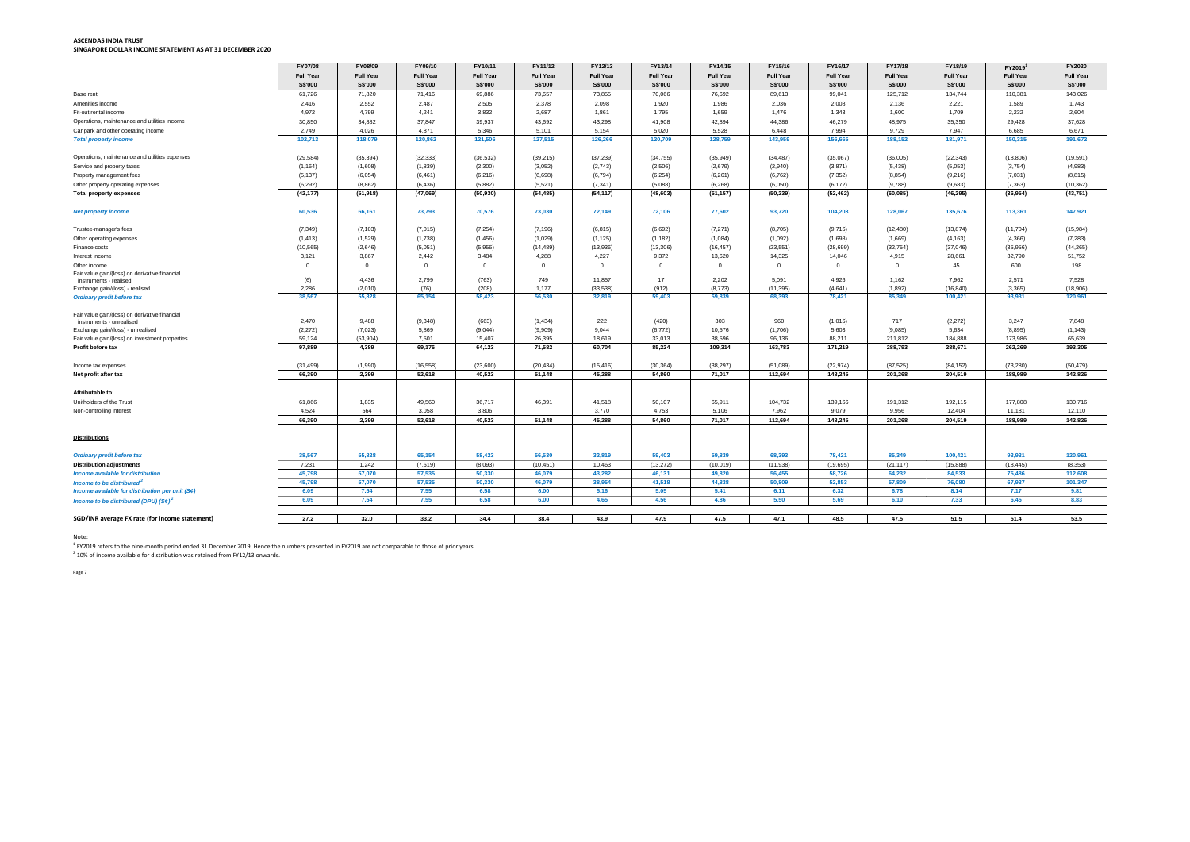## **ASCENDAS INDIA TRUST SINGAPORE DOLLAR INCOME STATEMENT AS AT 31 DECEMBER 2020**

|                                                      | FY07/08          | FY08/09          | FY09/10          | FY10/11          | FY11/12          | FY12/13          | FY13/14          | FY14/15          | FY15/16          | FY16/17          | FY17/18          | FY18/19          | FY2019 <sup>1</sup> | <b>FY2020</b>    |
|------------------------------------------------------|------------------|------------------|------------------|------------------|------------------|------------------|------------------|------------------|------------------|------------------|------------------|------------------|---------------------|------------------|
|                                                      | <b>Full Year</b> | <b>Full Year</b> | <b>Full Year</b> | <b>Full Year</b> | <b>Full Year</b> | <b>Full Year</b> | <b>Full Year</b> | <b>Full Year</b> | <b>Full Year</b> | <b>Full Year</b> | <b>Full Year</b> | <b>Full Year</b> | <b>Full Year</b>    | <b>Full Year</b> |
|                                                      | S\$'000          | S\$'000          | S\$'000          | S\$'000          | S\$'000          | S\$'000          | S\$'000          | S\$'000          | S\$'000          | S\$'000          | S\$'000          | S\$'000          | <b>S\$'000</b>      | S\$'000          |
| Base rent                                            | 61,726           | 71,820           | 71,416           | 69,886           | 73,657           | 73,855           | 70,066           | 76,692           | 89,613           | 99,041           | 125,712          | 134,744          | 110,381             | 143,026          |
| Amenities income                                     | 2,416            | 2,552            | 2,487            | 2,505            | 2,378            | 2,098            | 1,920            | 1,986            | 2,036            | 2,008            | 2,136            | 2,221            | 1,589               | 1,743            |
| Fit-out rental income                                | 4,972            | 4,799            | 4,241            | 3,832            | 2,687            | 1,861            | 1,795            | 1,659            | 1,476            | 1,343            | 1,600            | 1,709            | 2,232               | 2,604            |
| Operations, maintenance and utilities income         | 30,850           | 34,882           | 37,847           | 39,937           | 43,692           | 43,298           | 41,908           | 42,894           | 44,386           | 46,279           | 48,975           | 35,350           | 29,428              | 37,628           |
| Car park and other operating income                  | 2,749            | 4,026            | 4,871            | 5,346            | 5,101            | 5,154            | 5,020            | 5,528            | 6,448            | 7,994            | 9,729            | 7,947            | 6,685               | 6,671            |
| <b>Total property income</b>                         | 102,713          | 118,079          | 120,862          | 121,506          | 127,515          | 126,266          | 120,709          | 128,759          | 143,959          | 156,665          | 188,152          | 181,971          | 150,315             | 191,672          |
|                                                      |                  |                  |                  |                  |                  |                  |                  |                  |                  |                  |                  |                  |                     |                  |
| Operations, maintenance and utilities expenses       | (29, 584)        | (35, 394)        | (32, 333)        | (36, 532)        | (39, 215)        | (37, 239)        | (34, 755)        | (35, 949)        | (34, 487)        | (35,067)         | (36,005)         | (22, 343)        | (18, 806)           | (19, 591)        |
| Service and property taxes                           | (1, 164)         | (1,608)          | (1,839)          | (2,300)          | (3,052)          | (2,743)          | (2,506)          | (2,679)          | (2,940)          | (3,871)          | (5, 438)         | (5,053)          | (3,754)             | (4,983)          |
| Property management fees                             | (5, 137)         | (6,054)          | (6, 461)         | (6, 216)         | (6,698)          | (6, 794)         | (6, 254)         | (6,261)          | (6, 762)         | (7, 352)         | (8, 854)         | (9,216)          | (7,031)             | (8, 815)         |
| Other property operating expenses                    | (6,292)          | (8,862)          | (6, 436)         | (5,882)          | (5,521)          | (7, 341)         | (5,088)          | (6, 268)         | (6,050)          | (6, 172)         | (9,788)          | (9,683)          | (7, 363)            | (10, 362)        |
| <b>Total property expenses</b>                       | (42, 177)        | (51, 918)        | (47,069)         | (50, 930)        | (54, 485)        | (54, 117)        | (48, 603)        | (51, 157)        | (50, 239)        | (52, 462)        | (60, 085)        | (46, 295)        | (36, 954)           | (43, 751)        |
|                                                      |                  |                  |                  |                  |                  |                  |                  |                  |                  |                  |                  |                  |                     |                  |
| <b>Net property income</b>                           | 60,536           | 66,161           | 73,793           | 70,576           | 73,030           | 72,149           | 72,106           | 77,602           | 93,720           | 104,203          | 128,067          | 135,676          | 113,361             | 147,921          |
|                                                      |                  |                  |                  |                  |                  |                  |                  |                  |                  |                  |                  |                  |                     |                  |
| Trustee-manager's fees                               | (7, 349)         | (7, 103)         | (7,015)          | (7, 254)         | (7, 196)         | (6, 815)         | (6,692)          | (7,271)          | (8,705)          | (9,716)          | (12, 480)        | (13, 874)        | (11, 704)           | (15,984)         |
| Other operating expenses                             | (1, 413)         | (1,529)          | (1,738)          | (1, 456)         | (1,029)          | (1, 125)         | (1, 182)         | (1,084)          | (1,092)          | (1,698)          | (1,669)          | (4, 163)         | (4, 366)            | (7, 283)         |
| Finance costs                                        | (10, 565)        | (2,646)          | (5,051)          | (5,956)          | (14, 489)        | (13,936)         | (13,306)         | (16, 457)        | (23, 551)        | (28, 699)        | (32, 754)        | (37, 046)        | (35,956)            | (44, 265)        |
| Interest income                                      | 3,121            | 3,867            | 2,442            | 3,484            | 4,288            | 4,227            | 9,372            | 13,620           | 14,325           | 14,046           | 4,915            | 28,661           | 32,790              | 51,752           |
| Other income                                         |                  | $\cap$           | $\cap$           |                  |                  |                  | $\Omega$         |                  | റ                |                  | $\cap$           | 45               | 600                 | 198              |
| Fair value gain/(loss) on derivative financial       |                  |                  |                  |                  |                  |                  |                  |                  |                  |                  |                  |                  |                     |                  |
| instruments - realised                               | (6)              | 4,436            | 2,799            | (763)            | 749              | 11,857           | 17               | 2,202            | 5,091            | 4,926            | 1,162            | 7,962            | 2,571               | 7,528            |
| Exchange gain/(loss) - realised                      | 2,286            | (2,010)          | (76)             | (208)            | 1,177            | (33,538)         | (912)            | (8,773)          | (11, 395)        | (4,641)          | (1,892)          | (16, 840)        | (3, 365)            | (18,906)         |
| <b>Ordinary profit before tax</b>                    | 38,567           | 55,828           | 65,154           | 58,423           | 56,530           | 32,819           | 59,403           | 59,839           | 68,393           | 78,421           | 85,349           | 100,421          | 93,931              | 120,961          |
|                                                      |                  |                  |                  |                  |                  |                  |                  |                  |                  |                  |                  |                  |                     |                  |
| Fair value gain/(loss) on derivative financial       |                  |                  |                  |                  |                  |                  |                  |                  |                  |                  |                  |                  |                     |                  |
| instruments - unrealised                             | 2,470            | 9,488            | (9,348)          | (663)            | (1, 434)         | 222              | (420)            | 303              | 960              | (1,016)          | 717              | (2,272)          | 3,247               | 7,848            |
| Exchange gain/(loss) - unrealised                    | (2,272)          | (7,023)          | 5,869            | (9,044)          | (9,909)          | 9,044            | (6, 772)         | 10,576           | (1,706)          | 5,603            | (9,085)          | 5,634            | (8,895)             | (1, 143)         |
| Fair value gain/(loss) on investment properties      | 59,124           | (53,904)         | 7,501            | 15,407           | 26,395           | 18,619           | 33,013           | 38,596           | 96,136           | 88,211           | 211,812          | 184,888          | 173,986             | 65,639           |
| Profit before tax                                    | 97,889           | 4,389            | 69,176           | 64,123           | 71,582           | 60,704           | 85,224           | 109,314          | 163,783          | 171,219          | 288,793          | 288,671          | 262,269             | 193,305          |
|                                                      |                  |                  |                  |                  |                  |                  |                  |                  |                  |                  |                  |                  |                     |                  |
| Income tax expenses                                  | (31, 499)        | (1,990)          | (16, 558)        | (23,600)         | (20, 434)        | (15, 416)        | (30, 364)        | (38, 297)        | (51,089)         | (22, 974)        | (87, 525)        | (84, 152)        | (73, 280)           | (50, 479)        |
| Net profit after tax                                 | 66,390           | 2,399            | 52,618           | 40,523           | 51,148           | 45,288           | 54,860           | 71,017           | 112,694          | 148,245          | 201,268          | 204,519          | 188,989             | 142,826          |
|                                                      |                  |                  |                  |                  |                  |                  |                  |                  |                  |                  |                  |                  |                     |                  |
| Attributable to:                                     |                  |                  |                  |                  |                  |                  |                  |                  |                  |                  |                  |                  |                     |                  |
| Unitholders of the Trust                             | 61,866           | 1,835            | 49,560           | 36,717           | 46,391           | 41,518           | 50,107           | 65,911           | 104,732          | 139,166          | 191,312          | 192,115          | 177,808             | 130,716          |
| Non-controlling interest                             | 4,524            | 564              | 3,058            | 3,806            |                  | 3,770            | 4,753            | 5,106            | 7,962            | 9,079            | 9,956            | 12,404           | 11,181              | 12,110           |
|                                                      | 66,390           | 2,399            | 52,618           | 40,523           | 51,148           | 45,288           | 54,860           | 71,017           | 112,694          | 148,245          | 201,268          | 204,519          | 188,989             | 142,826          |
|                                                      |                  |                  |                  |                  |                  |                  |                  |                  |                  |                  |                  |                  |                     |                  |
| <b>Distributions</b>                                 |                  |                  |                  |                  |                  |                  |                  |                  |                  |                  |                  |                  |                     |                  |
|                                                      |                  |                  |                  |                  |                  |                  |                  |                  |                  |                  |                  |                  |                     |                  |
| <b>Ordinary profit before tax</b>                    | 38,567           | 55,828           | 65,154           | 58,423           | 56,530           | 32,819           | 59,403           | 59,839           | 68,393           | 78,421           | 85,349           | 100,421          | 93,931              | 120,961          |
| <b>Distribution adjustments</b>                      | 7,231            | 1,242            | (7,619)          | (8,093)          | (10, 451)        | 10,463           | (13, 272)        | (10, 019)        | (11,938)         | (19,695)         | (21, 117)        | (15,888)         | (18, 445)           | (8, 353)         |
| Income available for distribution                    | 45,798           | 57,070           | 57,535           | 50,330           | 46,079           | 43,282           | 46,131           | 49,820           | 56,455           | 58,726           | 64,232           | 84,533           | 75,486              | 112,608          |
| Income to be distributed <sup>2</sup>                | 45,798           | 57,070           | 57,535           | 50,330           | 46,079           | 38,954           | 41,518           | 44,838           | 50,809           | 52,853           | 57,809           | 76,080           | 67,937              | 101,347          |
| Income available for distribution per unit (S¢)      | 6.09             | 7.54             | 7.55             | 6.58             | 6.00             | 5.16             | 5.05             | 5.41             | 6.11             | 6.32             | 6.78             | 8.14             | 7.17                | 9.81             |
| Income to be distributed (DPU) $(S_{\mathcal{C}})^2$ | 6.09             | 7.54             | 7.55             | 6.58             | 6.00             | 4.65             | 4.56             | 4.86             | 5.50             | 5.69             | 6.10             | 7.33             | 6.45                | 8.83             |
|                                                      |                  |                  |                  |                  |                  |                  |                  |                  |                  |                  |                  |                  |                     |                  |
| SGD/INR average FX rate (for income statement)       | 27.2             | 32.0             | 33.2             | 34.4             | 38.4             | 43.9             | 47.9             | 47.5             | 47.1             | 48.5             | 47.5             | 51.5             | 51.4                | 53.5             |

Note:

 $^1$  FY2019 refers to the nine-month period ended 31 December 2019. Hence the numbers presented in FY2019 are not comparable to those of prior years.

 $^{2}$  10% of income available for distribution was retained from FY12/13 onwards.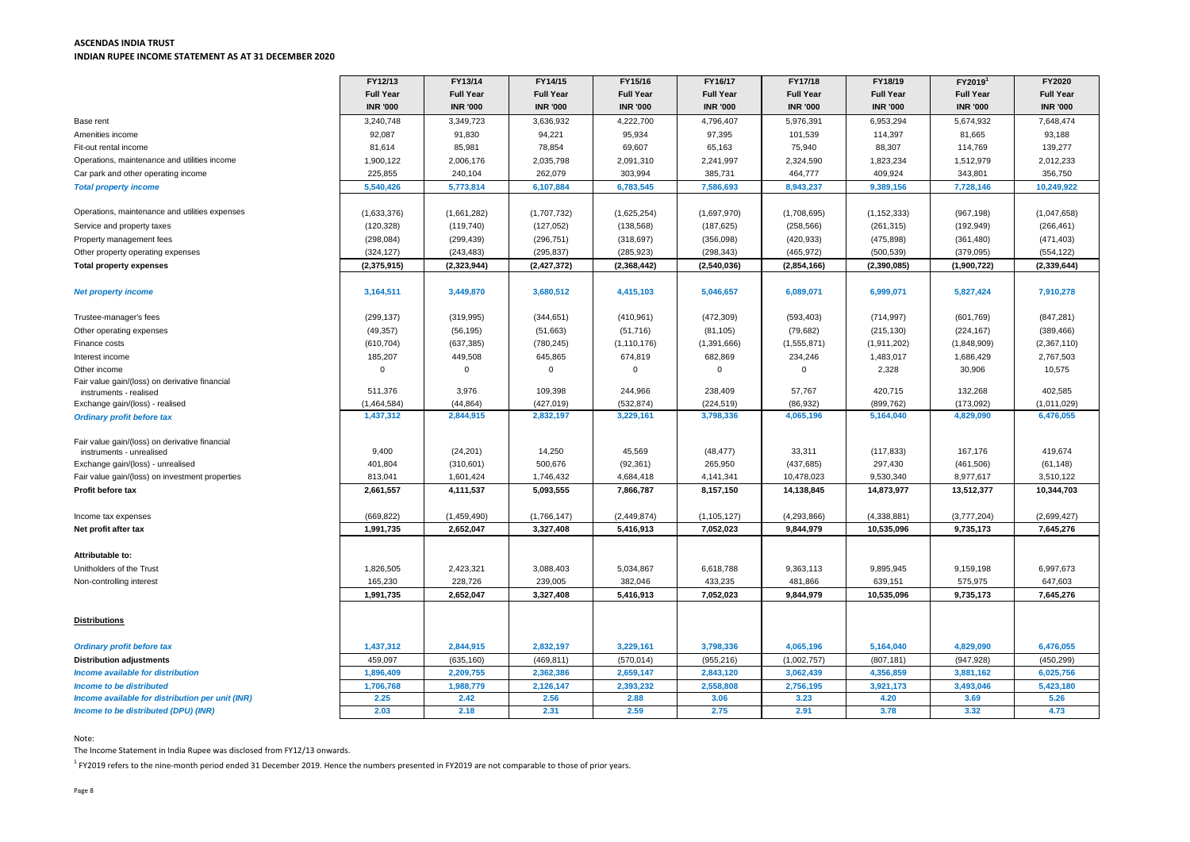## **ASCENDAS INDIA TRUST INDIAN RUPEE INCOME STATEMENT AS AT 31 DECEMBER 2020**

|                                                                          | FY12/13              | FY13/14              | FY14/15              | FY15/16              | FY16/17              | FY17/18              | FY18/19              | FY2019 <sup>1</sup>  | FY2020               |
|--------------------------------------------------------------------------|----------------------|----------------------|----------------------|----------------------|----------------------|----------------------|----------------------|----------------------|----------------------|
|                                                                          | <b>Full Year</b>     | <b>Full Year</b>     | <b>Full Year</b>     | <b>Full Year</b>     | <b>Full Year</b>     | <b>Full Year</b>     | <b>Full Year</b>     | <b>Full Year</b>     | <b>Full Year</b>     |
|                                                                          | <b>INR '000</b>      | <b>INR '000</b>      | <b>INR '000</b>      | <b>INR '000</b>      | <b>INR '000</b>      | <b>INR '000</b>      | <b>INR '000</b>      | <b>INR '000</b>      | <b>INR '000</b>      |
| Base rent                                                                | 3,240,748            | 3,349,723            | 3,636,932            | 4,222,700            | 4,796,407            | 5,976,391            | 6,953,294            | 5,674,932            | 7,648,474            |
| Amenities income                                                         | 92,087               | 91,830               | 94,221               | 95,934               | 97,395               | 101,539              | 114,397              | 81,665               | 93,188               |
| Fit-out rental income                                                    | 81,614               | 85,981               | 78,854               | 69,607               | 65,163               | 75,940               | 88,307               | 114,769              | 139,277              |
| Operations, maintenance and utilities income                             | 1,900,122            | 2,006,176            | 2,035,798            | 2,091,310            | 2,241,997            | 2,324,590            | 1,823,234            | 1,512,979            | 2,012,233            |
| Car park and other operating income                                      | 225,855              | 240,104              | 262,079              | 303,994              | 385,731              | 464,777              | 409,924              | 343,801              | 356,750              |
| <b>Total property income</b>                                             | 5,540,426            | 5,773,814            | 6,107,884            | 6,783,545            | 7,586,693            | 8,943,237            | 9,389,156            | 7,728,146            | 10,249,922           |
|                                                                          |                      |                      |                      |                      |                      |                      |                      |                      |                      |
| Operations, maintenance and utilities expenses                           | (1,633,376)          | (1,661,282)          | (1,707,732)          | (1,625,254)          | (1,697,970)          | (1,708,695)          | (1, 152, 333)        | (967, 198)           | (1,047,658)          |
| Service and property taxes                                               | (120, 328)           | (119, 740)           | (127, 052)           | (138, 568)           | (187, 625)           | (258, 566)           | (261, 315)           | (192, 949)           | (266, 461)           |
| Property management fees                                                 | (298, 084)           | (299, 439)           | (296, 751)           | (318, 697)           | (356,098)            | (420, 933)           | (475, 898)           | (361, 480)           | (471, 403)           |
| Other property operating expenses                                        | (324, 127)           | (243, 483)           | (295, 837)           | (285, 923)           | (298, 343)           | (465, 972)           | (500, 539)           | (379,095)            | (554, 122)           |
| <b>Total property expenses</b>                                           | (2,375,915)          | (2,323,944)          | (2, 427, 372)        | (2,368,442)          | (2,540,036)          | (2,854,166)          | (2,390,085)          | (1,900,722)          | (2, 339, 644)        |
|                                                                          |                      |                      |                      |                      |                      |                      |                      |                      |                      |
| <b>Net property income</b>                                               | 3,164,511            | 3,449,870            | 3,680,512            | 4,415,103            | 5,046,657            | 6,089,071            | 6,999,071            | 5,827,424            | 7,910,278            |
|                                                                          |                      |                      |                      |                      |                      |                      |                      |                      |                      |
| Trustee-manager's fees                                                   | (299, 137)           | (319, 995)           | (344, 651)           | (410, 961)           | (472, 309)           | (593, 403)           | (714, 997)           | (601, 769)           | (847, 281)           |
| Other operating expenses                                                 | (49, 357)            | (56, 195)            | (51,663)             | (51, 716)            | (81, 105)            | (79, 682)            | (215, 130)           | (224, 167)           | (389, 466)           |
| Finance costs                                                            | (610, 704)           | (637, 385)           | (780, 245)           | (1, 110, 176)        | (1, 391, 666)        | (1,555,871)          | (1,911,202)          | (1,848,909)          | (2,367,110)          |
| Interest income                                                          | 185,207              | 449,508              | 645,865              | 674,819              | 682,869              | 234,246              | 1,483,017            | 1,686,429            | 2,767,503            |
| Other income                                                             | $\Omega$             |                      |                      |                      | $\Omega$             | $\Omega$             | 2,328                | 30,906               | 10,575               |
| Fair value gain/(loss) on derivative financial<br>instruments - realised | 511,376              | 3,976                | 109,398              | 244,966              | 238,409              | 57,767               | 420,715              | 132,268              | 402,585              |
| Exchange gain/(loss) - realised                                          | (1,464,584)          | (44, 864)            | (427, 019)           | (532, 874)           | (224, 519)           | (86, 932)            | (899, 762)           | (173,092)            | (1,011,029)          |
| <b>Ordinary profit before tax</b>                                        | 1,437,312            | 2,844,915            | 2,832,197            | 3,229,161            | 3,798,336            | 4,065,196            | 5,164,040            | 4,829,090            | 6,476,055            |
|                                                                          |                      |                      |                      |                      |                      |                      |                      |                      |                      |
| Fair value gain/(loss) on derivative financial                           |                      |                      |                      |                      |                      |                      |                      |                      |                      |
| instruments - unrealised                                                 | 9,400                | (24, 201)            | 14,250               | 45,569               | (48, 477)            | 33,311               | (117, 833)           | 167,176              | 419,674              |
| Exchange gain/(loss) - unrealised                                        | 401,804              | (310, 601)           | 500,676              | (92, 361)            | 265,950              | (437, 685)           | 297,430              | (461, 506)           | (61, 148)            |
| Fair value gain/(loss) on investment properties                          | 813,041              | 1,601,424            | 1,746,432            | 4,684,418            | 4,141,341            | 10,478,023           | 9,530,340            | 8,977,617            | 3,510,122            |
| Profit before tax                                                        | 2,661,557            | 4,111,537            | 5,093,555            | 7,866,787            | 8,157,150            | 14,138,845           | 14,873,977           | 13,512,377           | 10,344,703           |
|                                                                          |                      |                      |                      |                      |                      |                      |                      |                      |                      |
| Income tax expenses                                                      | (669, 822)           | (1,459,490)          | (1,766,147)          | (2,449,874)          | (1, 105, 127)        | (4,293,866)          | (4,338,881)          | (3,777,204)          | (2,699,427)          |
| Net profit after tax                                                     | 1,991,735            | 2,652,047            | 3,327,408            | 5,416,913            | 7,052,023            | 9,844,979            | 10,535,096           | 9,735,173            | 7,645,276            |
|                                                                          |                      |                      |                      |                      |                      |                      |                      |                      |                      |
| Attributable to:<br>Unitholders of the Trust                             |                      |                      |                      |                      |                      |                      |                      |                      |                      |
| Non-controlling interest                                                 | 1,826,505<br>165,230 | 2,423,321<br>228,726 | 3,088,403<br>239,005 | 5,034,867<br>382,046 | 6,618,788<br>433,235 | 9,363,113<br>481,866 | 9,895,945<br>639,151 | 9,159,198<br>575,975 | 6,997,673<br>647,603 |
|                                                                          | 1,991,735            | 2,652,047            | 3,327,408            | 5,416,913            | 7,052,023            | 9,844,979            | 10,535,096           | 9,735,173            | 7,645,276            |
|                                                                          |                      |                      |                      |                      |                      |                      |                      |                      |                      |
| <b>Distributions</b>                                                     |                      |                      |                      |                      |                      |                      |                      |                      |                      |
|                                                                          |                      |                      |                      |                      |                      |                      |                      |                      |                      |
| <b>Ordinary profit before tax</b>                                        | 1,437,312            | 2,844,915            | 2,832,197            | 3,229,161            | 3,798,336            | 4,065,196            | 5,164,040            | 4,829,090            | 6,476,055            |
| <b>Distribution adjustments</b>                                          | 459,097              | (635, 160)           | (469, 811)           | (570, 014)           | (955, 216)           | (1,002,757)          | (807, 181)           | (947, 928)           | (450, 299)           |
| Income available for distribution                                        | 1,896,409            | 2,209,755            | 2,362,386            | 2,659,147            | 2,843,120            | 3,062,439            | 4,356,859            | 3,881,162            | 6,025,756            |
| <b>Income to be distributed</b>                                          | 1,706,768            | 1,988,779            | 2,126,147            | 2,393,232            | 2,558,808            | 2,756,195            | 3,921,173            | 3,493,046            | 5,423,180            |
| Income available for distribution per unit (INR)                         | 2.25                 | 2.42                 | 2.56                 | 2.88                 | 3.06                 | 3.23                 | 4.20                 | 3.69                 | 5.26                 |
| Income to be distributed (DPU) (INR)                                     | 2.03                 | 2.18                 | 2.31                 | 2.59                 | 2.75                 | 2.91                 | 3.78                 | 3.32                 | 4.73                 |
|                                                                          |                      |                      |                      |                      |                      |                      |                      |                      |                      |

Note:

The Income Statement in India Rupee was disclosed from FY12/13 onwards.

 $^1$  FY2019 refers to the nine-month period ended 31 December 2019. Hence the numbers presented in FY2019 are not comparable to those of prior years.